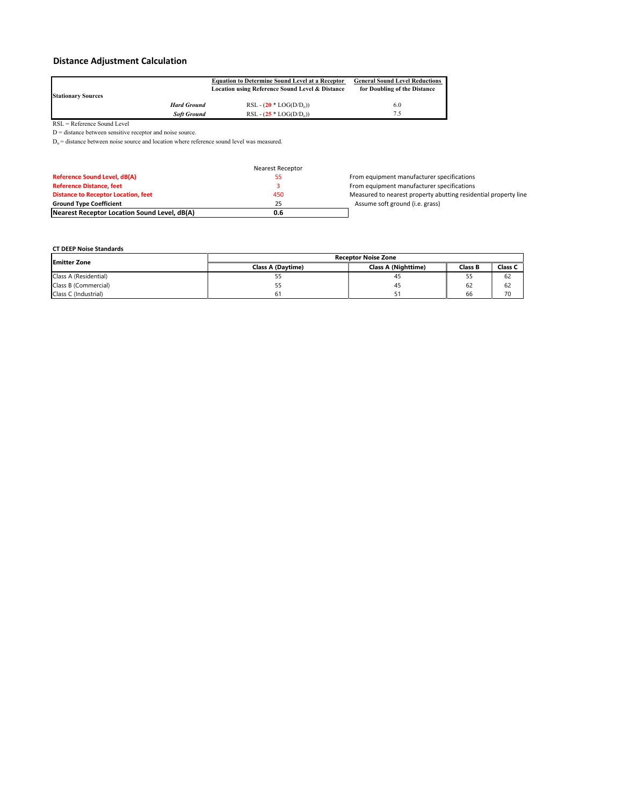# **Distance Adjustment Calculation**

|                           |                    | <b>Equation to Determine Sound Level at a Receptor</b>     | <b>General Sound Level Reductions</b> |  |
|---------------------------|--------------------|------------------------------------------------------------|---------------------------------------|--|
|                           |                    | <b>Location using Reference Sound Level &amp; Distance</b> | for Doubling of the Distance          |  |
| <b>Stationary Sources</b> |                    |                                                            |                                       |  |
|                           | <b>Hard Ground</b> | $RSL - (20 * LOG(D/D_0))$                                  | 6.0                                   |  |
|                           | <b>Soft Ground</b> | RSL - $(25 * LOG(D/D_0))$                                  | 7.5                                   |  |

RSL = Reference Sound Level

D = distance between sensitive receptor and noise source.  $D_0$  = distance between noise source and location where reference sound level was measured.

|                                              | Nearest Receptor |                                                                 |
|----------------------------------------------|------------------|-----------------------------------------------------------------|
| <b>Reference Sound Level, dB(A)</b>          |                  | From equipment manufacturer specifications                      |
| <b>Reference Distance, feet</b>              |                  | From equipment manufacturer specifications                      |
| <b>Distance to Receptor Location, feet</b>   | 450              | Measured to nearest property abutting residential property line |
| <b>Ground Type Coefficient</b>               | 25               | Assume soft ground (i.e. grass)                                 |
| Nearest Receptor Location Sound Level, dB(A) | 0.6              |                                                                 |

#### **CT DEEP Noise Standards**

| <b>Emitter Zone</b>   | <b>Receptor Noise Zone</b> |                            |                |         |  |
|-----------------------|----------------------------|----------------------------|----------------|---------|--|
|                       | <b>Class A (Davtime)</b>   | <b>Class A (Nighttime)</b> | <b>Class B</b> | Class C |  |
| Class A (Residential) | --                         | 45                         | 55             | 62      |  |
| Class B (Commercial)  |                            | 4.                         | 62             | 62      |  |
| Class C (Industrial)  |                            |                            | 66             | 70      |  |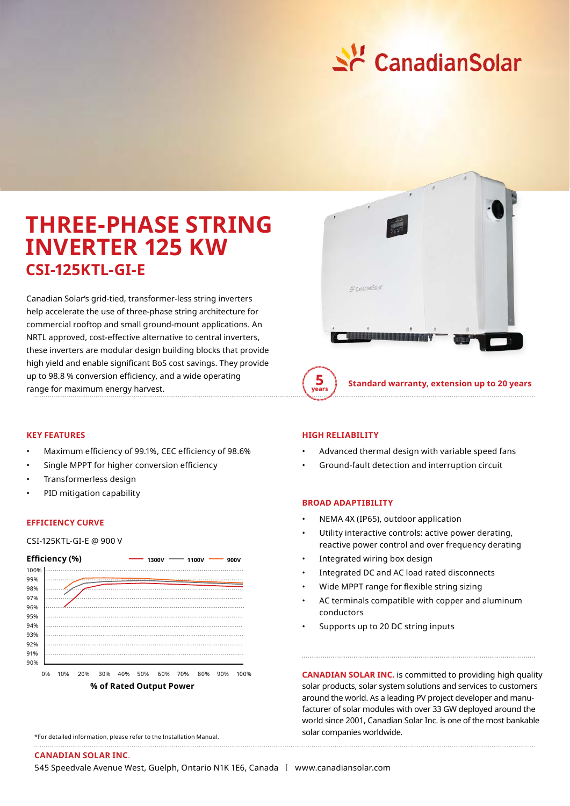

# **THREE-PHASE STRING INVERTER 125 KW CSI-125KTL-GI-E**

Canadian Solar's grid-tied, transformer-less string inverters help accelerate the use of three-phase string architecture for commercial rooftop and small ground-mount applications. An NRTL approved, cost-effective alternative to central inverters, these inverters are modular design building blocks that provide high yield and enable significant BoS cost savings. They provide up to 98.8 % conversion efficiency, and a wide operating range for maximum energy harvest. **Standard warranty, extension up to 20 years**



#### **KEY FEATURES**

- Maximum efficiency of 99.1%, CEC efficiency of 98.6%
- Single MPPT for higher conversion efficiency
- Transformerless design
- PID mitigation capability

#### **EFFICIENCY CURVE**

### CSI-125KTL-GI-E @ 900 V



#### **HIGH RELIABILITY**

- Advanced thermal design with variable speed fans
- Ground-fault detection and interruption circuit

## **BROAD ADAPTIBILITY**

- NEMA 4X (IP65), outdoor application
- Utility interactive controls: active power derating, reactive power control and over frequency derating
- Integrated wiring box design
- Integrated DC and AC load rated disconnects
- Wide MPPT range for flexible string sizing
- AC terminals compatible with copper and aluminum conductors
- Supports up to 20 DC string inputs

**CANADIAN SOLAR INC.** IS COMMERCE to providing might solar products, solar system solutions and services to customers around the world. As a leading PV project developer and manufacturer of solar modules with over 33 GW deployed around the world since 2001, Canadian Solar Inc. is one of the most bankable solar companies worldwide. **CANADIAN SOLAR INC.** is committed to providing high quality

\*For detailed information, please refer to the Installation Manual.